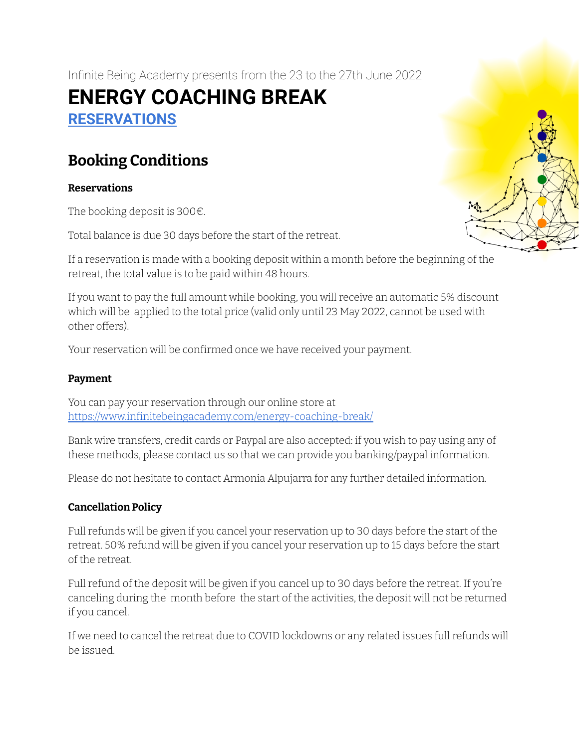Infinite Being Academy presents from the 23 to the 27th June 2022

# **ENERGY COACHING BREAK [RESERVATIONS](https://www.infinitebeingacademy.com/energy-coaching-break/)**

## **Booking Conditions**

## **Reservations**

The booking deposit is 300€.

Total balance is due 30 days before the start of the retreat.

If a reservation is made with a booking deposit within a month before the beginning of the retreat, the total value is to be paid within 48 hours.

If you want to pay the full amount while booking, you will receive an automatic 5% discount which will be applied to the total price (valid only until 23 May 2022, cannot be used with other offers).

Your reservation will be confirmed once we have received your payment.

## **Payment**

You can pay your reservation through our online store at https://www.infinitebeingacademy.com/energy-coaching-break/

Bank wire transfers, credit cards or Paypal are also accepted: if you wish to pay using any of these methods, please contact us so that we can provide you banking/paypal information.

Please do not hesitate to contact Armonia Alpujarra for any further detailed information.

## **Cancellation Policy**

Full refunds will be given if you cancel your reservation up to 30 days before the start of the retreat. 50% refund will be given if you cancel your reservation up to 15 days before the start of the retreat.

Full refund of the deposit will be given if you cancel up to 30 days before the retreat. If you're canceling during the month before the start of the activities, the deposit will not be returned if you cancel.

If we need to cancel the retreat due to COVID lockdowns or any related issues full refunds will be issued.

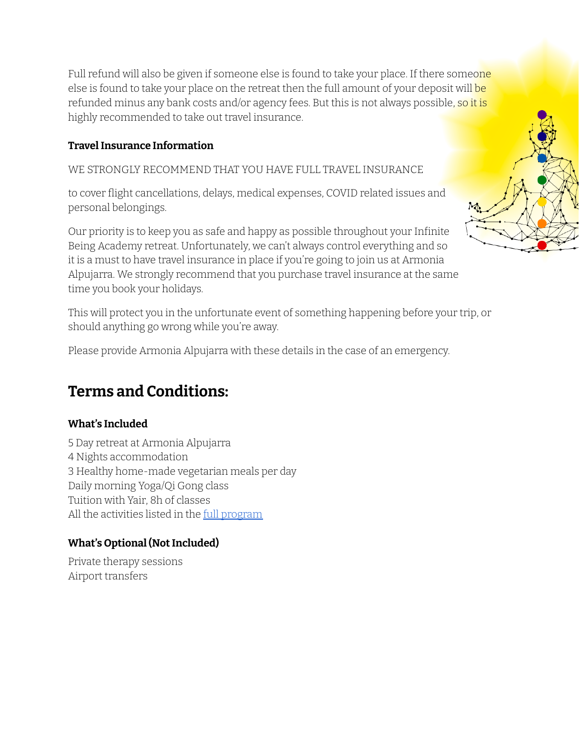Full refund will also be given if someone else is found to take your place. If there someone else is found to take your place on the retreat then the full amount of your deposit will be refunded minus any bank costs and/or agency fees. But this is not always possible, so it is highly recommended to take out travel insurance.

## **TravelInsurance Information**

WE STRONGLY RECOMMEND THAT YOU HAVE FULL TRAVEL INSURANCE

to cover flight cancellations, delays, medical expenses, COVID related issues and personal belongings.

Our priority is to keep you as safe and happy as possible throughout your Infinite Being Academy retreat. Unfortunately, we can't always control everything and so it is a must to have travel insurance in place if you're going to join us at Armonia Alpujarra. We strongly recommend that you purchase travel insurance at the same time you book your holidays.

This will protect you in the unfortunate event of something happening before your trip, or should anything go wrong while you're away.

Please provide Armonia Alpujarra with these details in the case of an emergency.

## **Terms and Conditions:**

## **What's Included**

5 Day retreat at Armonia Alpujarra 4 Nights accommodation 3 Healthy home-made vegetarian meals per day Daily morning Yoga/Qi Gong class Tuition with Yair, 8h of classes All the activities listed in the full [program](https://www.infinitebeingacademy.com/wp-content/uploads/2022/04/Energy-Coaching-Break-June-2022_Full-Program.pdf)

## **What's Optional (NotIncluded)**

Private therapy sessions Airport transfers